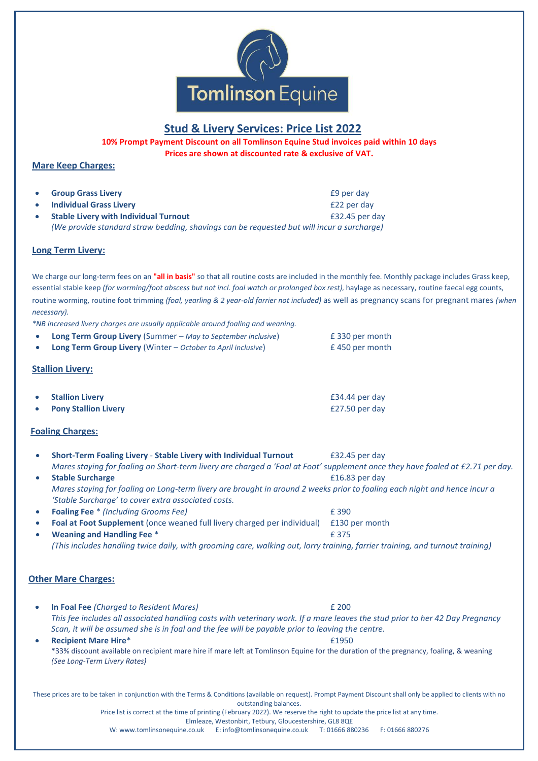

# **Stud & Livery Services: Price List 2022**

**10% Prompt Payment Discount on all Tomlinson Equine Stud invoices paid within 10 days Prices are shown at discounted rate & exclusive of VAT.**

## **Mare Keep Charges:**

- **Group Grass Livery E9 per day**
- **Individual Grass Livery EXALLER 2008 122 per day EXALLER 22 per day**
- **Stable Livery with Individual Turnout** £32.45 per day *(We provide standard straw bedding, shavings can be requested but will incur a surcharge)*

#### **Long Term Livery:**

We charge our long-term fees on an **"all in basis"** so that all routine costs are included in the monthly fee. Monthly package includes Grass keep, essential stable keep *(for worming/foot abscess but not incl. foal watch or prolonged box rest),* haylage as necessary, routine faecal egg counts, routine worming, routine foot trimming *(foal, yearling & 2 year-old farrier not included)* as well as pregnancy scans for pregnant mares *(when necessary).*

*\*NB increased livery charges are usually applicable around foaling and weaning.*

• **Long Term Group Livery** (Summer – *May to September inclusive*) £ 330 per month • **Long Term Group Livery** (Winter – *October to April inclusive*) £ 450 per month

### **Stallion Livery:**

|           | • Stallion Livery           | £34.44 per day |
|-----------|-----------------------------|----------------|
| $\bullet$ | <b>Pony Stallion Livery</b> | £27.50 per day |

### **Foaling Charges:**

• **Short-Term Foaling Livery** - **Stable Livery with Individual Turnout** £32.45 per day *Mares staying for foaling on Short-term livery are charged a 'Foal at Foot' supplement once they have foaled at £2.71 per day.* **Stable Surcharge E16.83** per day *Mares staying for foaling on Long-term livery are brought in around 2 weeks prior to foaling each night and hence incur a 'Stable Surcharge' to cover extra associated costs.*  • **Foaling Fee** \* *(Including Grooms Fee)* £ 390 • **Foal at Foot Supplement** (once weaned full livery charged per individual) £130 per month **Family 19th Meaning and Handling Fee** \* *Particular 19th Meaning and Handling Fee* \* *(This includes handling twice daily, with grooming care, walking out, lorry training, farrier training, and turnout training)*  **Other Mare Charges:** • **In Foal Fee** *(Charged to Resident Mares)* £ 200 *This fee includes all associated handling costs with veterinary work. If a mare leaves the stud prior to her 42 Day Pregnancy Scan, it will be assumed she is in foal and the fee will be payable prior to leaving the centre.* **• Recipient Mare Hire<sup>\*</sup>**  $\qquad 21950$ \*33% discount available on recipient mare hire if mare left at Tomlinson Equine for the duration of the pregnancy, foaling, & weaning *(See Long-Term Livery Rates)* These prices are to be taken in conjunction with the Terms & Conditions (available on request). Prompt Payment Discount shall only be applied to clients with no outstanding balances. Price list is correct at the time of printing (February 2022). We reserve the right to update the price list at any time. Elmleaze, Westonbirt, Tetbury, Gloucestershire, GL8 8QE

W: www.tomlinsonequine.co.uk E: info@tomlinsonequine.co.uk T: 01666 880236 F: 01666 880276